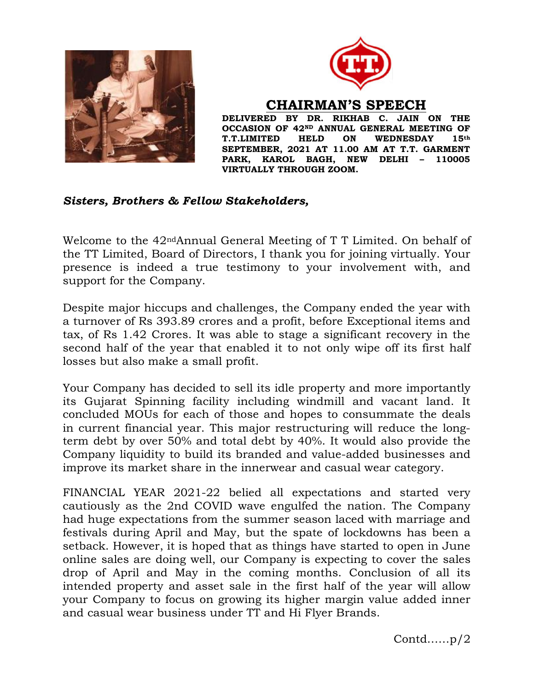



CHAIRMAN'S SPEECH

DELIVERED BY DR. RIKHAB C. JAIN ON THE OCCASION OF 42ND ANNUAL GENERAL MEETING OF T.T.LIMITED HELD ON WEDNESDAY 15th SEPTEMBER, 2021 AT 11.00 AM AT T.T. GARMENT PARK, KAROL BAGH, NEW DELHI – 110005 VIRTUALLY THROUGH ZOOM.

## Sisters, Brothers & Fellow Stakeholders,

Welcome to the 42ndAnnual General Meeting of T T Limited. On behalf of the TT Limited, Board of Directors, I thank you for joining virtually. Your presence is indeed a true testimony to your involvement with, and support for the Company.

Despite major hiccups and challenges, the Company ended the year with a turnover of Rs 393.89 crores and a profit, before Exceptional items and tax, of Rs 1.42 Crores. It was able to stage a significant recovery in the second half of the year that enabled it to not only wipe off its first half losses but also make a small profit.

Your Company has decided to sell its idle property and more importantly its Gujarat Spinning facility including windmill and vacant land. It concluded MOUs for each of those and hopes to consummate the deals in current financial year. This major restructuring will reduce the longterm debt by over 50% and total debt by 40%. It would also provide the Company liquidity to build its branded and value-added businesses and improve its market share in the innerwear and casual wear category.

FINANCIAL YEAR 2021-22 belied all expectations and started very cautiously as the 2nd COVID wave engulfed the nation. The Company had huge expectations from the summer season laced with marriage and festivals during April and May, but the spate of lockdowns has been a setback. However, it is hoped that as things have started to open in June online sales are doing well, our Company is expecting to cover the sales drop of April and May in the coming months. Conclusion of all its intended property and asset sale in the first half of the year will allow your Company to focus on growing its higher margin value added inner and casual wear business under TT and Hi Flyer Brands.

Contd……p/2